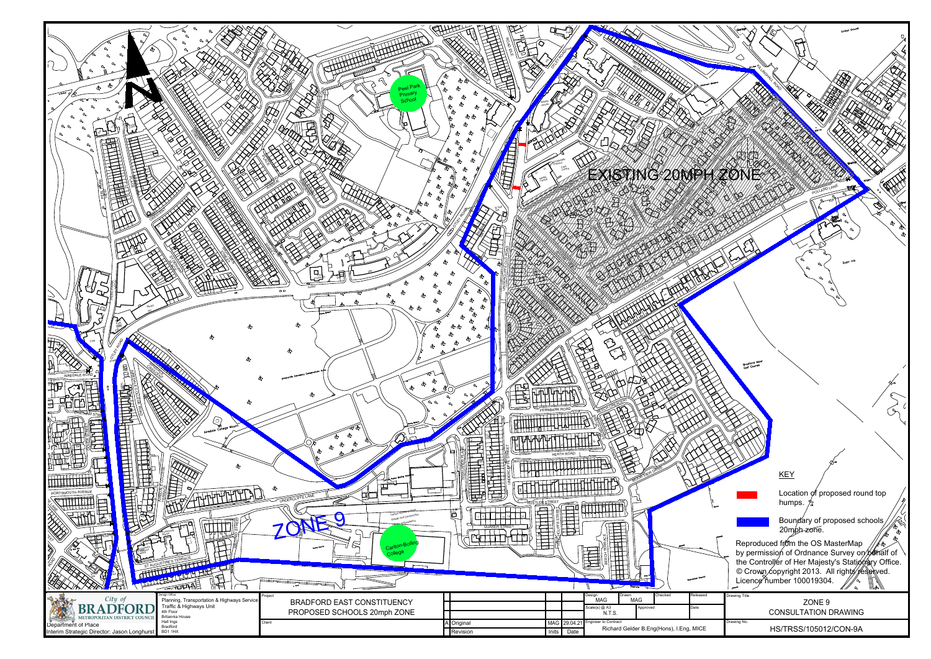